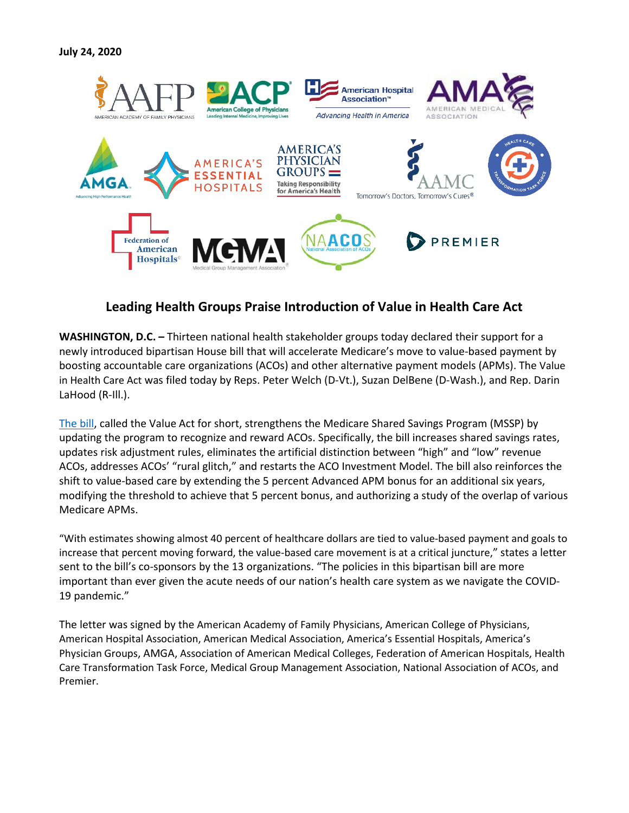

## **Leading Health Groups Praise Introduction of Value in Health Care Act**

**WASHINGTON, D.C. –** Thirteen national health stakeholder groups today declared their support for a newly introduced bipartisan House bill that will accelerate Medicare's move to value-based payment by boosting accountable care organizations (ACOs) and other alternative payment models (APMs). The Value in Health Care Act was filed today by Reps. Peter Welch (D-Vt.), Suzan DelBene (D-Wash.), and Rep. Darin LaHood (R-Ill.).

[The bill,](https://www.naacos.com/value-in-health-care-act-of-2020) called the Value Act for short, strengthens the Medicare Shared Savings Program (MSSP) by updating the program to recognize and reward ACOs. Specifically, the bill increases shared savings rates, updates risk adjustment rules, eliminates the artificial distinction between "high" and "low" revenue ACOs, addresses ACOs' "rural glitch," and restarts the ACO Investment Model. The bill also reinforces the shift to value-based care by extending the 5 percent Advanced APM bonus for an additional six years, modifying the threshold to achieve that 5 percent bonus, and authorizing a study of the overlap of various Medicare APMs.

"With estimates showing almost 40 percent of healthcare dollars are tied to value-based payment and goals to increase that percent moving forward, the value-based care movement is at a critical juncture," states a letter sent to the bill's co-sponsors by the 13 organizations. "The policies in this bipartisan bill are more important than ever given the acute needs of our nation's health care system as we navigate the COVID-19 pandemic."

The letter was signed by the American Academy of Family Physicians, American College of Physicians, American Hospital Association, American Medical Association, America's Essential Hospitals, America's Physician Groups, AMGA, Association of American Medical Colleges, Federation of American Hospitals, Health Care Transformation Task Force, Medical Group Management Association, National Association of ACOs, and Premier.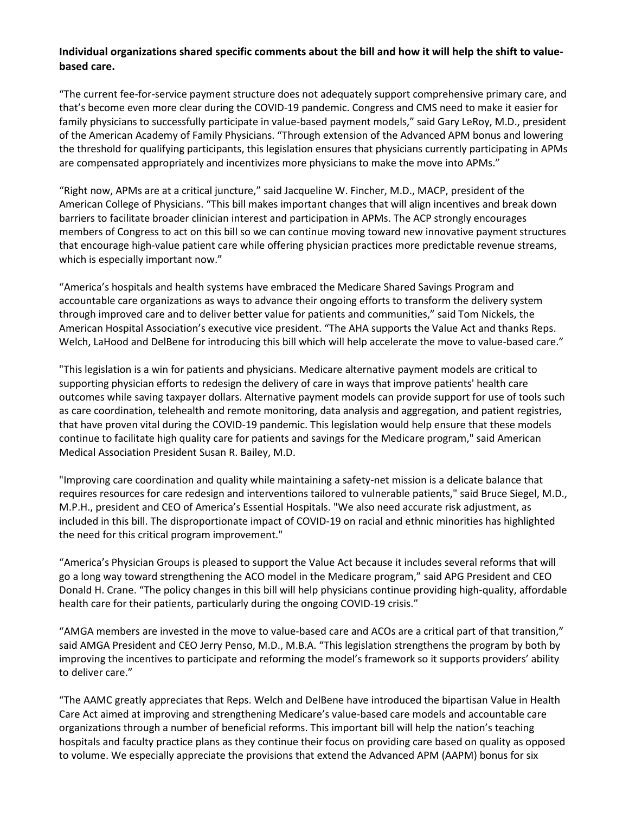## **Individual organizations shared specific comments about the bill and how it will help the shift to valuebased care.**

"The current fee-for-service payment structure does not adequately support comprehensive primary care, and that's become even more clear during the COVID-19 pandemic. Congress and CMS need to make it easier for family physicians to successfully participate in value-based payment models," said Gary LeRoy, M.D., president of the American Academy of Family Physicians. "Through extension of the Advanced APM bonus and lowering the threshold for qualifying participants, this legislation ensures that physicians currently participating in APMs are compensated appropriately and incentivizes more physicians to make the move into APMs."

"Right now, APMs are at a critical juncture," said Jacqueline W. Fincher, M.D., MACP, president of the American College of Physicians. "This bill makes important changes that will align incentives and break down barriers to facilitate broader clinician interest and participation in APMs. The ACP strongly encourages members of Congress to act on this bill so we can continue moving toward new innovative payment structures that encourage high-value patient care while offering physician practices more predictable revenue streams, which is especially important now."

"America's hospitals and health systems have embraced the Medicare Shared Savings Program and accountable care organizations as ways to advance their ongoing efforts to transform the delivery system through improved care and to deliver better value for patients and communities," said Tom Nickels, the American Hospital Association's executive vice president. "The AHA supports the Value Act and thanks Reps. Welch, LaHood and DelBene for introducing this bill which will help accelerate the move to value-based care."

"This legislation is a win for patients and physicians. Medicare alternative payment models are critical to supporting physician efforts to redesign the delivery of care in ways that improve patients' health care outcomes while saving taxpayer dollars. Alternative payment models can provide support for use of tools such as care coordination, telehealth and remote monitoring, data analysis and aggregation, and patient registries, that have proven vital during the COVID-19 pandemic. This legislation would help ensure that these models continue to facilitate high quality care for patients and savings for the Medicare program," said American Medical Association President Susan R. Bailey, M.D.

"Improving care coordination and quality while maintaining a safety-net mission is a delicate balance that requires resources for care redesign and interventions tailored to vulnerable patients," said Bruce Siegel, M.D., M.P.H., president and CEO of America's Essential Hospitals. "We also need accurate risk adjustment, as included in this bill. The disproportionate impact of COVID-19 on racial and ethnic minorities has highlighted the need for this critical program improvement."

"America's Physician Groups is pleased to support the Value Act because it includes several reforms that will go a long way toward strengthening the ACO model in the Medicare program," said APG President and CEO Donald H. Crane. "The policy changes in this bill will help physicians continue providing high-quality, affordable health care for their patients, particularly during the ongoing COVID-19 crisis."

"AMGA members are invested in the move to value-based care and ACOs are a critical part of that transition," said AMGA President and CEO Jerry Penso, M.D., M.B.A. "This legislation strengthens the program by both by improving the incentives to participate and reforming the model's framework so it supports providers' ability to deliver care."

"The AAMC greatly appreciates that Reps. Welch and DelBene have introduced the bipartisan Value in Health Care Act aimed at improving and strengthening Medicare's value-based care models and accountable care organizations through a number of beneficial reforms. This important bill will help the nation's teaching hospitals and faculty practice plans as they continue their focus on providing care based on quality as opposed to volume. We especially appreciate the provisions that extend the Advanced APM (AAPM) bonus for six